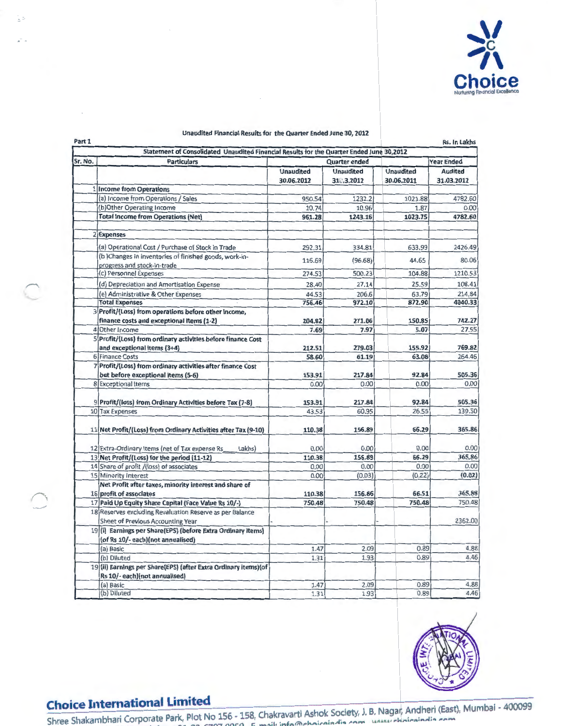

|  | Unaudited Financial Results for the Quarter Ended June 30, 2012 |
|--|-----------------------------------------------------------------|
|--|-----------------------------------------------------------------|

| Part 1  |                                                                                                   |                                |                                |                                | Rs. In Lakhs                 |  |
|---------|---------------------------------------------------------------------------------------------------|--------------------------------|--------------------------------|--------------------------------|------------------------------|--|
| Sr. No. | Statement of Consolidated Unaudited Financial Results for the Quarter Ended June 30,2012          |                                |                                |                                |                              |  |
|         | <b>Particulars</b>                                                                                |                                | Quarter ended                  |                                | <b>Year Ended</b>            |  |
|         |                                                                                                   | <b>Unaudited</b><br>30.06.2012 | <b>Unaudited</b><br>310.3.2012 | <b>Unaudited</b><br>30.06.2011 | <b>Audited</b><br>31.03.2012 |  |
|         | 1 Income from Operations                                                                          |                                |                                |                                |                              |  |
|         | (a) Income from Operations / Sales                                                                | 950.54                         | 1232.2                         | 1021.88                        | 4782.60                      |  |
|         | (b)Other Operating Income                                                                         | 10.74                          | 10.96                          | 1.87                           | 0.00                         |  |
|         | <b>Total Income from Operations (Net)</b>                                                         | 961.28                         | 1243.16                        | 1023.75                        | 4782.60                      |  |
|         | 2 Expenses                                                                                        |                                |                                |                                |                              |  |
|         | (a) Operational Cost / Purchase of Stock in Trade                                                 | 292.31                         | 334.81                         | 633.99                         | 2426.49                      |  |
|         | (b) Changes in inventories of finished goods, work-in-<br>progress and stock-in-trade             | 116.69                         | (96.68)                        | 44.65                          | 80.06                        |  |
|         | (c) Personnel Expenses                                                                            | 274.53                         | 500.23                         | 104.88                         | 1210.53                      |  |
|         | (d) Depreciation and Amortisation Expense                                                         | 28.40                          | 27.14                          | 25.59                          | 108.41                       |  |
|         | (e) Administrative & Other Expenses                                                               | 44.53                          | 206.6                          | 63.79                          | 214.84                       |  |
|         | <b>Total Expenses</b>                                                                             | 756.46                         | 972.10                         | 872.90                         | 4040.33                      |  |
|         | 3 Profit/(Loss) from operations before other income,<br>finance costs and exceptional Items (1-2) | 204.82                         | 271.06                         | 150.85                         | 742.27                       |  |
|         | 4 Other Income                                                                                    | 7.69                           | 7.97                           | 5.07                           | 27.55                        |  |
|         | 5 Profit/(Loss) from ordinary activities before finance Cost<br>and exceptional items (3+4)       | 212.51                         | 279.03                         | 155.92                         | 769.82                       |  |
|         | 6 Finance Costs                                                                                   | 58.60                          | 61.19                          | 63.08                          | 264.46                       |  |
|         | 7 Profit/(Loss) from ordinary activities after finance Cost<br>but before exceptional Items (5-6) | 153.91                         | 217.84                         | 92.84                          | 505.36                       |  |
|         | 8 Exceptional Items                                                                               | 0.00                           | 0.00                           | 0.00                           | 0.00                         |  |
|         | 9 Profit/(loss) from Ordinary Activities before Tax (7-8)                                         | 153.91                         | 217.84                         | 92.84                          | 505.36                       |  |
|         | 10 Tax Expenses                                                                                   | 43.53                          | 60.95                          | 26.55                          | 139.50                       |  |
|         | 11 Net Profit/(Loss) from Ordinary Activities after Tax (9-10)                                    | 110.38                         | 156.89                         | 66.29                          | 365.86                       |  |
|         | 12 Extra-Ordinary Items (net of Tax expense Rs<br>Lakhs)                                          | 0.00                           | 0.00                           | 0.00                           | 0.00                         |  |
|         | 13 Net Profit/(Loss) for the period (11-12)                                                       | 110.38                         | 156.89                         | 66.29                          | 365.86                       |  |
|         | 14 Share of profit /(loss) of associates                                                          | 0.00                           | 0.00                           | 0.00                           | 0.00                         |  |
|         | 15 Minority Interest                                                                              | 0.00                           | (0.03)                         | (0.22)                         | (0.02)                       |  |
|         | Net Profit after taxes, minority interest and share of<br>16 profit of associates                 | 110.38                         | 156.86                         | 66.51                          | 365.88                       |  |
|         | 17 Paid Up Equity Share Capital (Face Value Rs 10/-)                                              | 750.48                         | 750.48                         | 750.48                         | 750.48                       |  |
|         | 18 Reserves excluding Revaluation Reserve as per Balance<br>Sheet of Previous Accounting Year     |                                |                                |                                | 2362.00                      |  |
|         | 19(i) Earnings per Share(EPS) (before Extra Ordinary items)<br>(of Rs 10/-each)(not annualised)   |                                |                                |                                |                              |  |
|         | (a) Basic                                                                                         | 1.47                           | 2.09                           | 0.89                           | 4.88                         |  |
|         | (b) Diluted                                                                                       | 1.31                           | 1.93                           | 0.89                           | 4.46                         |  |
|         | 19 (ii) Earnings per Share(EPS) (after Extra Ordinary items) (of<br>Rs 10/-each)(not annualised)  |                                |                                |                                |                              |  |
|         | (a) Basic                                                                                         | 1.47                           | 2.09                           | 0.89                           | 4.88                         |  |
|         | (b) Diluted                                                                                       | 1.31                           | 1.93                           | 0.89                           | 4.46                         |  |



들러

**Choice International Limited**<br>
Shree Shakambhari Corporate Park, Plot No 156 - 158, Chakravarti Ashok Society, J. B. Nagar, Andheri (East), Mumbai - 400099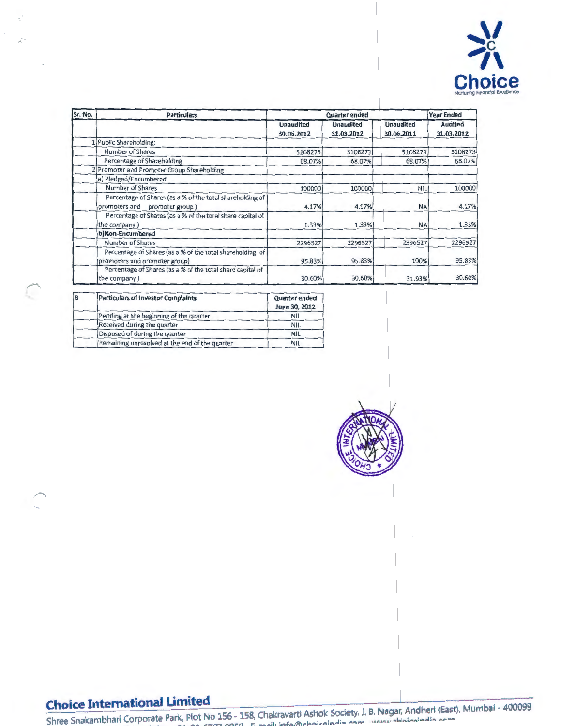

| Sr. No. | <b>Particulars</b>                                                                            |                                | <b>Quarter ended</b>           | <b>Year Ended</b>              |                              |  |
|---------|-----------------------------------------------------------------------------------------------|--------------------------------|--------------------------------|--------------------------------|------------------------------|--|
|         |                                                                                               | <b>Unaudited</b><br>30.06.2012 | <b>Unaudited</b><br>31.03.2012 | <b>Unaudited</b><br>30.06.2011 | <b>Audited</b><br>31.03.2012 |  |
|         | 1 Public Shareholding:                                                                        |                                |                                |                                |                              |  |
|         | Number of Shares                                                                              | 5108273                        | 5108273                        | 5108273                        | 5108273                      |  |
|         | Percentage of Shareholding                                                                    | 68.07%                         | 68.07%                         | 68.07%                         | 68.07%                       |  |
|         | 2 Promoter and Promoter Group Shareholding                                                    |                                |                                |                                |                              |  |
|         | a) Pledged/Encumbered                                                                         |                                |                                |                                |                              |  |
|         | Number of Shares                                                                              | 100000                         | 100000                         | <b>NIL</b>                     | 100000                       |  |
|         | Percentage of Shares (as a % of the total shareholding of<br>promoters and<br>promoter group) | 4.17%                          | 4.17%                          | <b>NA</b>                      | 4.17%                        |  |
|         | Percentage of Shares (as a % of the total share capital of<br>the company)                    | 1.33%                          | 1.33%                          | <b>NA</b>                      | 1.33%                        |  |
|         | b)Non-Encumbered                                                                              |                                |                                |                                |                              |  |
|         | Number of Shares                                                                              | 2296527                        | 2296527                        | 2396527                        | 2296527                      |  |
|         | Percentage of Shares (as a % of the total shareholding of<br>promoters and promoter group)    | 95,83%                         | 95.83%                         | 100%                           | 95.83%                       |  |
|         | Percentage of Shares (as a % of the total share capital of<br>the company)                    | 30.60%                         | 30.60%                         | 31.93%                         | 30.60%                       |  |

| B | <b>Particulars of Investor Complaints</b>      | Quarter ended<br>June 30, 2012 |  |
|---|------------------------------------------------|--------------------------------|--|
|   | Pending at the beginning of the quarter        | <b>NIL</b>                     |  |
|   | Received during the quarter                    | NIL                            |  |
|   | Disposed of during the quarter                 | <b>NIL</b>                     |  |
|   | Remaining unresolved at the end of the quarter | <b>NIL</b>                     |  |



# **Choice International Limited**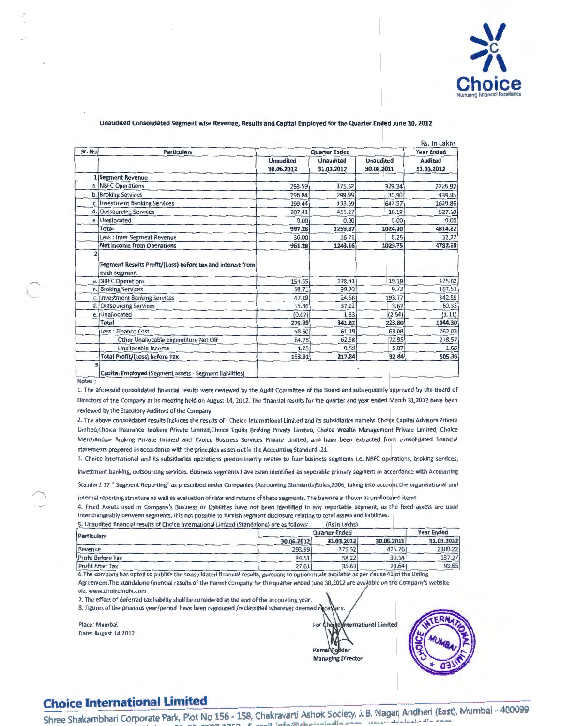

### Unaudited Consolidated Segment wise Revenue, Results and Capital Employed for the Quarter Ended June 30, 2012

| Sr. No | <b>Particulars</b><br><b>Quarter Ended</b>                                 |                                |                                |                                | <b>Year Ended</b>            |  |
|--------|----------------------------------------------------------------------------|--------------------------------|--------------------------------|--------------------------------|------------------------------|--|
|        |                                                                            | <b>Unaudited</b><br>30.06.2012 | <b>Unaudited</b><br>31.03.2012 | <b>Unaudited</b><br>30.06.2011 | <b>Audited</b><br>31.03.2012 |  |
|        | 1 Segment Revenue                                                          |                                |                                |                                |                              |  |
|        | a. NBFC Operations                                                         | 293.59                         | 375.52                         | 329.34                         | 2226.92                      |  |
| b.     | <b>Broking Services</b>                                                    | 296.84                         | 298.99                         | 30.90                          | 439.95                       |  |
| C.     | <b>Investment Banking Services</b>                                         | 199.44                         | 133.59                         | 647.57                         | 1620.86                      |  |
| d.     | <b>Outsourcing Services</b>                                                | 207.41                         | 451.27                         | 16.19                          | 527.10                       |  |
| e.     | Unallocated                                                                | 0.00                           | 0.00                           | 0.00                           | 0.00                         |  |
|        | Total                                                                      | 997.28                         | 1259.37                        | 1024.00                        | 4814.82                      |  |
|        | Less : Inter Segment Revenue                                               | 36.00                          | 16.21                          | 0.25                           | 32.22                        |  |
|        | <b>Net Income from Operations</b>                                          | 961.28                         | 1243.16                        | 1023.75                        | 4782.60                      |  |
|        | Segment Results Profit/(Loss) before tax and interest from<br>each segment |                                |                                |                                |                              |  |
| a.     | NBFC Operations                                                            | 154.65                         | 178.41                         | 19.18                          | 475.02                       |  |
| b.     | <b>Broking Services</b>                                                    | 58.71                          | 99.70                          | 9.72                           | 167.51                       |  |
| C.     | <b>Investment Banking Services</b>                                         | 47.29                          | 24.56                          | 193.77                         | 342.55                       |  |
|        | d. Outsourcing Services                                                    | 15.36                          | 37.02                          | 3.67                           | 60.33                        |  |
|        | e. Unallocated                                                             | (0.02)                         | 1.33                           | (2.54)                         | (1.11)                       |  |
|        | Total                                                                      | 275.99                         | 341.02                         | 223.80                         | 1044.30                      |  |
|        | Less : Finance Cost                                                        | 58.60                          | 61.19                          | 63.08                          | 262.03                       |  |
|        | Other Unallocable Expenditure Net Off                                      | 64.73                          | 62.58                          | 72.95                          | 278.57                       |  |
|        | Unallocable Income                                                         | 1.25                           | 0.59                           | 5.07                           | 1.66                         |  |
|        | <b>Total Profit/(Loss) before Tax</b>                                      | 153.91                         | 217.84                         | 92.84                          | 505.36                       |  |

Notes: \

:

l

1. The aforesaid consolidated financial results were reviewed by the Audit Committee of the Board and subsequently approved by the Board of Directors of the Company at its meeting held on August 14, 2012. The financial results for the quarter and year ended March 31,2012 have been reviewed by the Statutory Auditors of the Company.

2. The above consolidated results includes the results of: Choice International Limited and its subsidiaries namely: Choice Capital Advisors Private Limited, Choice Insurance Brokers Private Limited, Choice Equity Broking Private Limited, Choice Wealth Management Private Limited, Choice Merchandise Broking Private Limited and Choice Business Services Private Limited, and have been extracted from consolidated financial statements prepared in accordance with the principles as set out in the Accounting Standard -21.

3. Choice International and its subsidiaries operations predominantly relates to four business segments i.e. NBFC operations, broking services,

investment banking, outsourcing services. Business segments have been identified as seperable primary segment in acaordance with Accounting Standard 17 " Segment Reporting" as prescribed under Companies (Accounting Standards)Rules,2006, taking into account the organisational and

internal reporting structure as well as evaluation of risks and returns of these segments. The balance is shown as unallocated items.

4. Fixed Assets used in Company's Business or Liabilities have not been identified to any reportable segment, as the fixed assets are used interchangeably between segments. It is not possible to furnish segment disclosure relating to total assets and liabilities.

| 5. Unaudited financial results of Choice International Limited (Standalone) are as follows: |                      | (Rs in Lakhs) |            |            |
|---------------------------------------------------------------------------------------------|----------------------|---------------|------------|------------|
| <b>Particulars</b>                                                                          | <b>Quarter Ended</b> |               |            |            |
|                                                                                             | 30.06.2012           | 31.03.2012    | 30.06.2011 | 31.03.2012 |
| Revenue                                                                                     | 293.59               | 375.52        | 475.76     | 2100.22    |
| <b>Profit Before Tax</b>                                                                    | 34.51                | 58.22         | 30.14      | 137.27     |
| <b>Profit After Tax</b>                                                                     | 27.61                | 35.63         | 23.64      | 98.65      |

6. The company has opted to publish the consolidated financial results, pursuant to option made available as per clause 41 of the Listing Agreement. The standalone financial results of the Parent Company for the quarter ended June 30,2012 are avaijable on the Company's website viz. www.choiceindia.com

7. The effect of deferred tax liability shall be considered at the end of the accounting year.

8. Figures of the previous year/period have been regrouped /reclassified wherever deemed nece

Place: Mumbai Date: August 14,2012



arv.



# **Choice International Limited**

Shree Shakambhari Corporate Park, Plot No 156 • 158, Chakravarti Ashok Society, J. B. Naga Tol •01-??.;.?n7 0000 Tai"-F"'v .t.01-.,.,\_t:;'7n'7 ooco c \_ .. a. ;\_,,.f,l;\,.t...,.: .. A:-~: ...... - ....... '" Andheri (East), Mumbai - 400099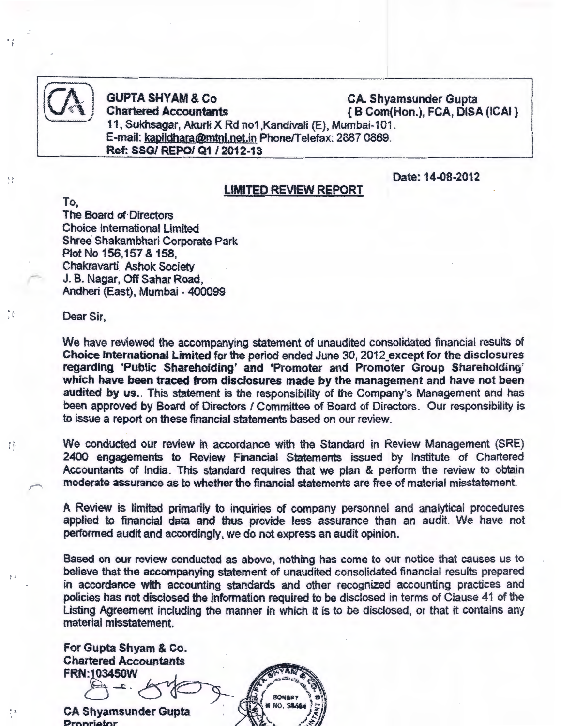

A A

 $\frac{1}{2}$ 

**CA GUPTA SHYAM & Co** CA. Shyamsunder Gupta ... ~V·=:~·i , Chartered Accountants { B Corn(Hon.), FCA, DISA (ICAI} 11, Sukhsagar, Akurli X Rd no1,Kandivali (E), Mumbai-101. E-mail: <u>kapildhara@mtnl.net.in</u> Phone/Telefax: 2887 0869. 1 Ref: SSG/ REPO/ Q1 /2012-13

Date: 14-08-2012

## LIMITED REVIEW REPORT

To, The Board of· Directors Choice International Limited Shree Shakambhari Corporate Park Plot No 156,157 & 158, Chakravarti Ashok Society J. B. Nagar, Off Sahar Road, Andheri (East), Mumbai - 400099

### Dear Sir,

We have reviewed the accompanying statement of unaudited consolidated financial results of Choice International Limited for the period ended June 30, 2012 except for the disclosures regarding 'Public Sharehofding' and 'Promoter and Promoter Group Shareholding' which have been traced from disclosures made by the management and have not been audited by us.. This statement is the responsibility of the Company's Management and has been approved by Board of Directors / Committee of Board of Directors. Our responsibility is to issue a report on these financial statements based on our review.

: We conducted our review in accordance with the Standard in Review Management (SRE) 2400 engagements to Review Financial Statements issued by Institute of Chartered Accountants of India. This standard requires that we plan & perform the review to obtain moderate assurance as to whether the financial statements are free of material misstatement.

> A Review is limited primarily to inquiries of company personnel and analytical procedures applied to financial data and thus provide less assurance than an audit. We have not performed audit and accordingly, we do not express an audit opinion.

> Based on our review conducted as above, nothing has come to our notice that causes us to believe that the accompanying statement of unaudited consolidated financial results prepared in accordance with accounting standards and other recognized accounting practices and policies has not disclosed the information required to be disclosed in terms of Clause 41 of the Listing Agreement including the manner in which it is to be disclosed, or that it contains any material misstatement.

For Gupta Shyam & Co. Chartered Accountants material misstatement.<br>For Gupta Shyam & Co.<br>Chartered Accountants<br>FRN:103450W<br>Compare of Compare of Somean

Q~ *')-*

CA Shyamsunder Gupta Proprietor

**NO QE**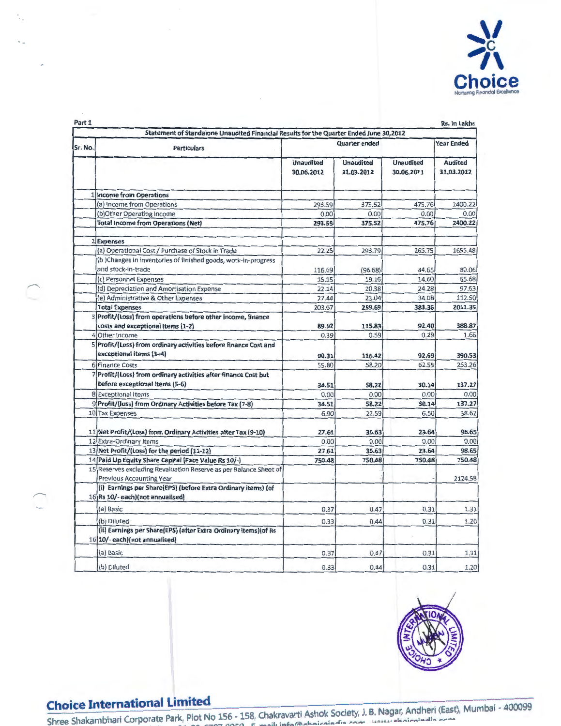

 $\overline{\phantom{0}}$ 

 $\begin{pmatrix} 1 \\ 1 \end{pmatrix}$ 

| Part 1  |                                                                                                      |                                |                                |                                | Rs. In Lakhs                 |  |
|---------|------------------------------------------------------------------------------------------------------|--------------------------------|--------------------------------|--------------------------------|------------------------------|--|
|         | Statement of Standalone Unaudited Financial Results for the Quarter Ended June 30,2012               |                                |                                |                                |                              |  |
| Sr. No. | <b>Particulars</b>                                                                                   | <b>Quarter ended</b>           |                                |                                | <b>Year Ended</b>            |  |
|         |                                                                                                      | <b>Unaudited</b><br>30.06.2012 | <b>Unaudited</b><br>31.03.2012 | <b>Unaudited</b><br>30.06.2011 | <b>Audited</b><br>31.03.2012 |  |
|         | 1 Income from Operations                                                                             |                                |                                |                                |                              |  |
|         | (a) Income from Operations                                                                           | 293.59                         | 375.52                         | 475.76                         | 2400.22                      |  |
|         | (b)Other Operating Income                                                                            | 0.00                           | 0.00                           | 0.00                           | 0.00                         |  |
|         | <b>Total Income from Operations (Net)</b>                                                            | 293.59                         | 375.52                         | 475.76                         | 2400.22                      |  |
|         | 2 Expenses                                                                                           |                                |                                |                                |                              |  |
|         | (a) Operational Cost / Purchase of Stock in Trade                                                    | 22.25                          | 293.79                         | 265.75                         | 1655.48                      |  |
|         | (b) Changes in inventories of finished goods, work-in-progress<br>and stock-in-trade                 | 116.69                         | (96.68)                        | 44.65                          | 80.06                        |  |
|         | (c) Personnel Expenses                                                                               | 15.15                          | 19.16                          | 14.60                          | 65.68                        |  |
|         | (d) Depreciation and Amortisation Expense                                                            | 22.14                          | 20.38                          | 24.28                          | 97.63                        |  |
|         | (e) Administrative & Other Expenses                                                                  | 27.44                          | 23.04                          | 34.08                          | 112.50                       |  |
|         | <b>Total Expenses</b>                                                                                | 203.67                         | 259.69                         | 383.36                         | 2011.35                      |  |
|         | 3 Profit/(Loss) from operations before other income, finance<br>costs and exceptional Items (1-2)    | 89.92                          | 115.83                         | 92.40                          | 388.87                       |  |
|         | 4 Other Income                                                                                       | 0.39                           | 0.59                           | 0.29                           | 1.66                         |  |
|         | 5 Profit/(Loss) from ordinary activities before finance Cost and<br>exceptional items (3+4)          | 90.31                          | 116.42                         | 92.69                          | 390.53                       |  |
|         | 6 Finance Costs                                                                                      | 55.80                          | 58.20                          | 62.55                          | 253.26                       |  |
|         | 7 Profit/(Loss) from ordinary activities after finance Cost but<br>before exceptional Items (5-6)    | 34.51                          | 58.22                          | 30.14                          | 137.27                       |  |
|         | 8 Exceptional Items                                                                                  | 0.00                           | 0.00                           | 0.00                           | 0.00                         |  |
|         | 9 Profit/(loss) from Ordinary Activities before Tax (7-8)                                            | 34.51                          | 58.22                          | 30.14                          | 137.27                       |  |
|         | 10 Tax Expenses                                                                                      | 6.90                           | 22.59                          | 6.50                           | 38.62                        |  |
|         | 11 Net Profit/(Loss) from Ordinary Activities after Tax (9-10)                                       | 27.61                          | 35.63                          | 23.64                          | 98.65                        |  |
|         | 12 Extra-Ordinary Items                                                                              | 0.00                           | 0.00                           | 0.00                           | 0.00                         |  |
|         | 13 Net Profit/(Loss) for the period (11-12)                                                          | 27.61                          | 35.63                          | 23.64                          | 98.65                        |  |
|         | 14 Paid Up Equity Share Capital (Face Value Rs 10/-)                                                 | 750.48                         | 750.48                         | 750.48                         | 750.48                       |  |
|         | 15 Reserves excluding Revaluation Reserve as per Balance Sheet of<br><b>Previous Accounting Year</b> |                                |                                |                                | 2124.58                      |  |
|         | (i) Earnings per Share(EPS) (before Extra Ordinary items) (of<br>16 Rs 10/- each)(not annualised)    |                                |                                |                                |                              |  |
|         | (a) Basic                                                                                            | 0.37                           | 0.47                           | 0.31                           | 1.31                         |  |
|         | (b) Diluted                                                                                          | 0.33                           | 0.44                           | 0.31                           | 1.20                         |  |
|         | (ii) Earnings per Share(EPS) (after Extra Ordinary items) (of Rs<br>16 10/- each)(not annualised)    |                                |                                |                                |                              |  |
|         | (a) Basic                                                                                            | 0.37                           | 0.47                           | 0.31                           | 1.31                         |  |
|         | (b) Diluted                                                                                          | 0.33                           | 0.44                           | 0.31                           | 1.20                         |  |



**Choice International Limited Limited** . A hock Society J. B. Nagar, Andheri (East), Mumbai - 400099 Shree Shakambhari Corporate Park, Plot No 156 - 158, Chakravaru Asnok Society, J. B. Hugury Photosindia com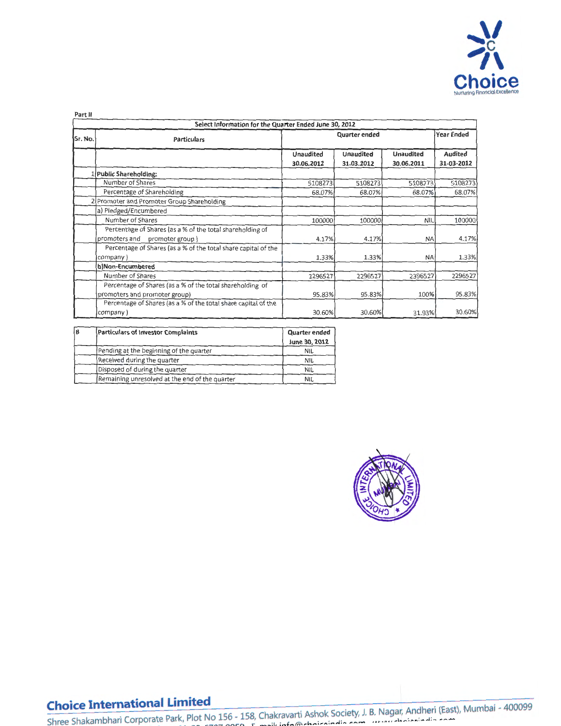

**Part II** 

| Select Information for the Quarter Ended June 30, 2012 |                                                                |                                |                                |                                |                              |  |
|--------------------------------------------------------|----------------------------------------------------------------|--------------------------------|--------------------------------|--------------------------------|------------------------------|--|
| Sr. No.                                                | <b>Particulars</b>                                             | Year Ended<br>Quarter ended    |                                |                                |                              |  |
|                                                        |                                                                | <b>Unaudited</b><br>30.06.2012 | <b>Unaudited</b><br>31.03.2012 | <b>Unaudited</b><br>30.06.2011 | <b>Audited</b><br>31-03-2012 |  |
|                                                        | 1 Public Shareholding:                                         |                                |                                |                                |                              |  |
|                                                        | Number of Shares                                               | 5108273                        | 5108273                        | 5108273                        | 5108273                      |  |
|                                                        | Percentage of Shareholding                                     | 68.07%                         | 68.07%                         | 68.07%                         | 68.07%                       |  |
|                                                        | 2 Promoter and Promoter Group Shareholding                     |                                |                                |                                |                              |  |
|                                                        | a) Piedged/Encumbered                                          |                                |                                |                                |                              |  |
|                                                        | Number of Shares                                               | 100000                         | 100000                         | NIL                            | 100000                       |  |
|                                                        | Percentage of Shares (as a % of the total shareholding of      |                                |                                |                                |                              |  |
|                                                        | promoters and<br>promoter group)                               | 4.17%                          | 4.17%                          | <b>NA</b>                      | 4.17%                        |  |
|                                                        | Percentage of Shares (as a % of the total share capital of the |                                |                                |                                |                              |  |
|                                                        | company)                                                       | 1.33%                          | 1.33%                          | <b>NA</b>                      | 1.33%                        |  |
|                                                        | b)Non-Encumbered                                               |                                |                                |                                |                              |  |
|                                                        | Number of Shares                                               | 2296527                        | 2296527                        | 2396527                        | 2296527                      |  |
|                                                        | Percentage of Shares (as a % of the total shareholding of      |                                |                                |                                |                              |  |
|                                                        | promoters and promoter group)                                  | 95.83%                         | 95.83%                         | 100%                           | 95.83%                       |  |
|                                                        | Percentage of Shares (as a % of the total share capital of the |                                |                                |                                |                              |  |
|                                                        | company)                                                       | 30.60%                         | 30.60%                         | 31.93%                         | 30.60%                       |  |

| łв | Particulars of Investor Complaints<br>Quarter ended |               |
|----|-----------------------------------------------------|---------------|
|    |                                                     | June 30, 2012 |
|    | Pending at the beginning of the quarter             | <b>NIL</b>    |
|    | Received cluring the quarter                        | NIL           |
|    | Disposed of during the quarter                      | <b>NIL</b>    |
|    | Remaining unresolved at the end of the quarter      | NIL           |



## **Choice International Limited**

**Shree Shakambhari Corporate Park, Plot No 156 • 158, Chakravarti Ashok Society, J. B. Nagar, Andheri (East), Mumbai • 400099** T~:>l **.a1. ??-f:.7n7 aaaa Tal"'f"'v** -~.01- **,,\_t:.7n"T oor:;o c\_ ....... a. ; ...** ~ **... t,:;\,.&.. ... ;,.,..;,....1: ..** ,.,..\_ ....... **....... : .. -:M..I:A** *A--*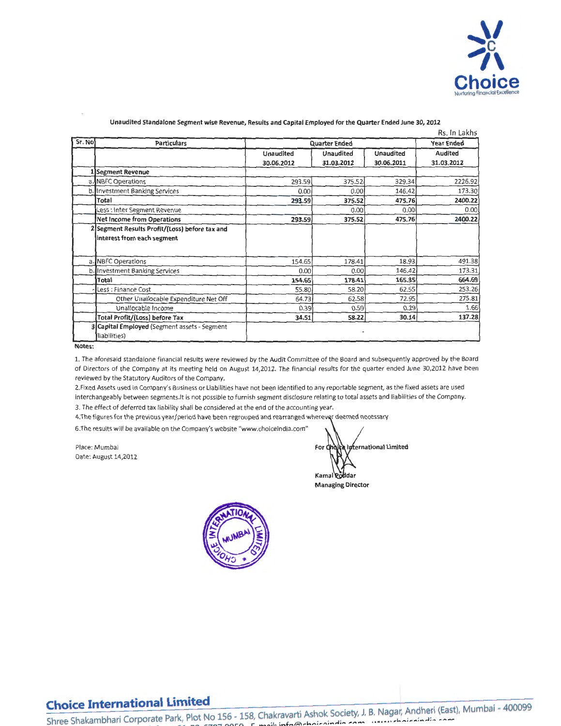

|        | Rs. In Lakhs                                                 |            |                      |            |                |  |
|--------|--------------------------------------------------------------|------------|----------------------|------------|----------------|--|
| Sr. No | <b>Particulars</b>                                           |            | <b>Quarter Ended</b> |            |                |  |
|        |                                                              | Unaudited  | Unaudited            | Unaudited  | <b>Audited</b> |  |
|        |                                                              | 30.06.2012 | 31.03.2012           | 30.06.2011 | 31.03.2012     |  |
|        | <b>Segment Revenue</b>                                       |            |                      |            |                |  |
|        | a. NBFC Operations                                           | 293.59     | 375.52               | 329.34     | 2226.92        |  |
|        | b. Investment Banking Services                               | 0.00       | 0.00                 | 146.42     | 173.30         |  |
|        | Total                                                        | 293.59     | 375.52               | 475.76     | 2400.22        |  |
|        | Less : Inter Segment Revenue                                 |            | 0.00                 | 0.00       | 0.00           |  |
|        | <b>Net Income from Operations</b>                            | 293.59     | 375.52               | 475.76     | 2400.22        |  |
|        | Segment Results Profit/(Loss) before tax and                 |            |                      |            |                |  |
|        | interest from each segment                                   |            |                      |            |                |  |
|        | a. NBFC Operations                                           | 154.65     | 178.41               | 18.93      | 491.38         |  |
| b.     | Investment Banking Services                                  | 0.00       | 0.00                 | 146.42     | 173.31         |  |
|        | Total                                                        | 154.65     | 178.41               | 165.35     | 664.69         |  |
|        | Less: Finance Cost                                           | 55.80      | 58.20                | 62.55      | 253.26         |  |
|        | Other Unailocable Expenditure Net Off                        | 64.73      | 62.58                | 72.95      | 275.81         |  |
|        | Unallocable Income                                           | 0.39       | 0.59                 | 0.29       | 1.66           |  |
|        | <b>Total Profit/(Loss) before Tax</b>                        | 34.51      | 58.22                | 30.14      | 137.28         |  |
|        | 3 Capital Employed (Segment assets - Segment<br>liabilities) |            |                      |            |                |  |

### **Unaudited Standalone Segment wise Revenue, Results and Capital Employed for the Quarter Ended June 30, 2012**

**Notes:** 

1. The aforesaid standalone financial results were reviewed by the Audit Committee of the Board and subsequently approved by the Board of Directors of the Company at its meeting held on August 14,2012. The financial results for the quarter ended June 30,2012 have been reviewed by the Statutory Auditors of the Company.

2.Fixed Assets used in Company's Business or Liabilities have not been identified to any reportable segment, as the fixed assets are used interchangeably between segments.lt is not possible to furnish segment disclosure relating to total assets and liabilities of the Company. 3. The effect of deferred tax liability shall be considered at the end of the accounting year.

4.The figures for the previous year/period have been regrouped and rearranged wherever deemed necessary

6.The results will be available on the Company's website "www.choiceindia.com"

Place: Mumbai **For**  Date: August 14,2012

xternational Limited Kamal Poddar

**Managing Director**